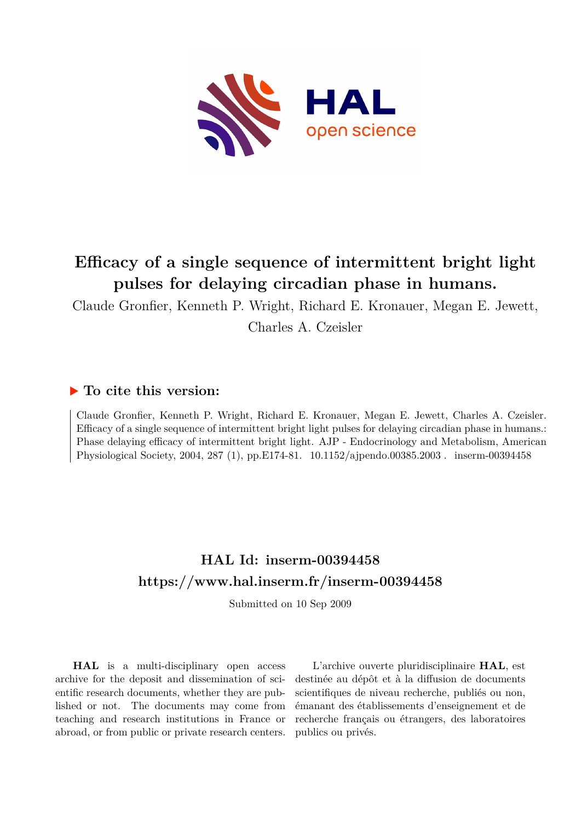

# **Efficacy of a single sequence of intermittent bright light pulses for delaying circadian phase in humans.**

Claude Gronfier, Kenneth P. Wright, Richard E. Kronauer, Megan E. Jewett, Charles A. Czeisler

## **To cite this version:**

Claude Gronfier, Kenneth P. Wright, Richard E. Kronauer, Megan E. Jewett, Charles A. Czeisler. Efficacy of a single sequence of intermittent bright light pulses for delaying circadian phase in humans.: Phase delaying efficacy of intermittent bright light. AJP - Endocrinology and Metabolism, American Physiological Society, 2004, 287 (1), pp.E174-81. 10.1152/ajpendo.00385.2003. inserm-00394458

## **HAL Id: inserm-00394458 <https://www.hal.inserm.fr/inserm-00394458>**

Submitted on 10 Sep 2009

**HAL** is a multi-disciplinary open access archive for the deposit and dissemination of scientific research documents, whether they are published or not. The documents may come from teaching and research institutions in France or abroad, or from public or private research centers.

L'archive ouverte pluridisciplinaire **HAL**, est destinée au dépôt et à la diffusion de documents scientifiques de niveau recherche, publiés ou non, émanant des établissements d'enseignement et de recherche français ou étrangers, des laboratoires publics ou privés.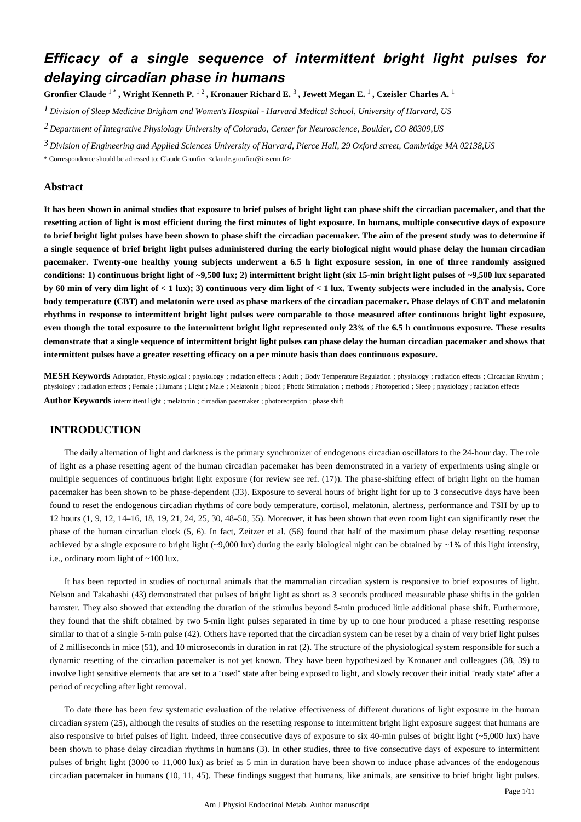## *Efficacy of a single sequence of intermittent bright light pulses for delaying circadian phase in humans*

**Gronfier Claude** <sup>1</sup> \* **, Wright Kenneth P.** <sup>1</sup> <sup>2</sup> **, Kronauer Richard E.** <sup>3</sup> **, Jewett Megan E.** <sup>1</sup> **, Czeisler Charles A.** <sup>1</sup>

*Division of Sleep Medicine 1 Brigham and Women*'*s Hospital - Harvard Medical School, University of Harvard, US*

*Department of Integrative Physiology 2 University of Colorado, Center for Neuroscience, Boulder, CO 80309,US*

*Division of Engineering and Applied Sciences 3 University of Harvard, Pierce Hall, 29 Oxford street, Cambridge MA 02138,US*

\* Correspondence should be adressed to: Claude Gronfier <claude.gronfier@inserm.fr>

## **Abstract**

**It has been shown in animal studies that exposure to brief pulses of bright light can phase shift the circadian pacemaker, and that the resetting action of light is most efficient during the first minutes of light exposure. In humans, multiple consecutive days of exposure to brief bright light pulses have been shown to phase shift the circadian pacemaker. The aim of the present study was to determine if a single sequence of brief bright light pulses administered during the early biological night would phase delay the human circadian pacemaker. Twenty-one healthy young subjects underwent a 6.5 h light exposure session, in one of three randomly assigned conditions: 1) continuous bright light of ~9,500 lux; 2) intermittent bright light (six 15-min bright light pulses of ~9,500 lux separated by 60 min of very dim light of < 1 lux); 3) continuous very dim light of < 1 lux. Twenty subjects were included in the analysis. Core body temperature (CBT) and melatonin were used as phase markers of the circadian pacemaker. Phase delays of CBT and melatonin rhythms in response to intermittent bright light pulses were comparable to those measured after continuous bright light exposure, even though the total exposure to the intermittent bright light represented only 23**% **of the 6.5 h continuous exposure. These results demonstrate that a single sequence of intermittent bright light pulses can phase delay the human circadian pacemaker and shows that intermittent pulses have a greater resetting efficacy on a per minute basis than does continuous exposure.**

**MESH Keywords** Adaptation, Physiological ; physiology ; radiation effects ; Adult ; Body Temperature Regulation ; physiology ; radiation effects ; Circadian Rhythm ; physiology ; radiation effects ; Female ; Humans ; Light ; Male ; Melatonin ; blood ; Photic Stimulation ; methods ; Photoperiod ; Sleep ; physiology ; radiation effects

**Author Keywords** intermittent light ; melatonin ; circadian pacemaker ; photoreception ; phase shift

### **INTRODUCTION**

The daily alternation of light and darkness is the primary synchronizer of endogenous circadian oscillators to the 24-hour day. The role of light as a phase resetting agent of the human circadian pacemaker has been demonstrated in a variety of experiments using single or multiple sequences of continuous bright light exposure (for review see ref. (17)). The phase-shifting effect of bright light on the human pacemaker has been shown to be phase-dependent (33). Exposure to several hours of bright light for up to 3 consecutive days have been found to reset the endogenous circadian rhythms of core body temperature, cortisol, melatonin, alertness, performance and TSH by up to 12 hours (1, 9, 12, 14–16, 18, 19, 21, 24, 25, 30, 48–50, 55). Moreover, it has been shown that even room light can significantly reset the phase of the human circadian clock (5, 6). In fact, Zeitzer et al. (56) found that half of the maximum phase delay resetting response achieved by a single exposure to bright light (~9,000 lux) during the early biological night can be obtained by ~1% of this light intensity, i.e., ordinary room light of ~100 lux.

It has been reported in studies of nocturnal animals that the mammalian circadian system is responsive to brief exposures of light. Nelson and Takahashi (43) demonstrated that pulses of bright light as short as 3 seconds produced measurable phase shifts in the golden hamster. They also showed that extending the duration of the stimulus beyond 5-min produced little additional phase shift. Furthermore, they found that the shift obtained by two 5-min light pulses separated in time by up to one hour produced a phase resetting response similar to that of a single 5-min pulse (42). Others have reported that the circadian system can be reset by a chain of very brief light pulses of 2 milliseconds in mice (51), and 10 microseconds in duration in rat (2). The structure of the physiological system responsible for such a dynamic resetting of the circadian pacemaker is not yet known. They have been hypothesized by Kronauer and colleagues (38, 39) to involve light sensitive elements that are set to a "used" state after being exposed to light, and slowly recover their initial "ready state" after a period of recycling after light removal.

To date there has been few systematic evaluation of the relative effectiveness of different durations of light exposure in the human circadian system (25), although the results of studies on the resetting response to intermittent bright light exposure suggest that humans are also responsive to brief pulses of light. Indeed, three consecutive days of exposure to six 40-min pulses of bright light  $(\sim 5,000 \text{ lux})$  have been shown to phase delay circadian rhythms in humans (3). In other studies, three to five consecutive days of exposure to intermittent pulses of bright light (3000 to 11,000 lux) as brief as 5 min in duration have been shown to induce phase advances of the endogenous circadian pacemaker in humans (10, 11, 45). These findings suggest that humans, like animals, are sensitive to brief bright light pulses.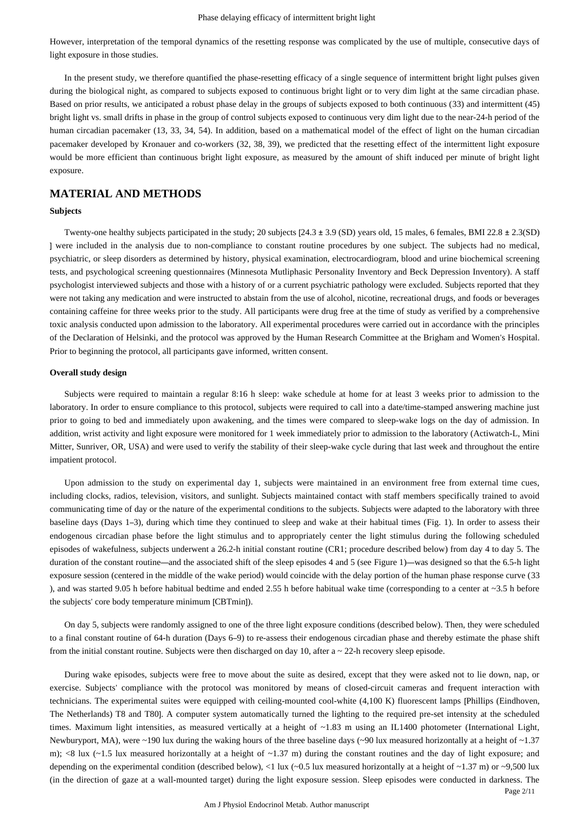However, interpretation of the temporal dynamics of the resetting response was complicated by the use of multiple, consecutive days of light exposure in those studies.

In the present study, we therefore quantified the phase-resetting efficacy of a single sequence of intermittent bright light pulses given during the biological night, as compared to subjects exposed to continuous bright light or to very dim light at the same circadian phase. Based on prior results, we anticipated a robust phase delay in the groups of subjects exposed to both continuous (33) and intermittent (45) bright light vs. small drifts in phase in the group of control subjects exposed to continuous very dim light due to the near-24-h period of the human circadian pacemaker (13, 33, 34, 54). In addition, based on a mathematical model of the effect of light on the human circadian pacemaker developed by Kronauer and co-workers (32, 38, 39), we predicted that the resetting effect of the intermittent light exposure would be more efficient than continuous bright light exposure, as measured by the amount of shift induced per minute of bright light exposure.

## **MATERIAL AND METHODS**

#### **Subjects**

Twenty-one healthy subjects participated in the study; 20 subjects [24.3 ± 3.9 (SD) years old, 15 males, 6 females, BMI 22.8 ± 2.3(SD) ] were included in the analysis due to non-compliance to constant routine procedures by one subject. The subjects had no medical, psychiatric, or sleep disorders as determined by history, physical examination, electrocardiogram, blood and urine biochemical screening tests, and psychological screening questionnaires (Minnesota Mutliphasic Personality Inventory and Beck Depression Inventory). A staff psychologist interviewed subjects and those with a history of or a current psychiatric pathology were excluded. Subjects reported that they were not taking any medication and were instructed to abstain from the use of alcohol, nicotine, recreational drugs, and foods or beverages containing caffeine for three weeks prior to the study. All participants were drug free at the time of study as verified by a comprehensive toxic analysis conducted upon admission to the laboratory. All experimental procedures were carried out in accordance with the principles of the Declaration of Helsinki, and the protocol was approved by the Human Research Committee at the Brigham and Women's Hospital. Prior to beginning the protocol, all participants gave informed, written consent.

#### **Overall study design**

Subjects were required to maintain a regular 8:16 h sleep: wake schedule at home for at least 3 weeks prior to admission to the laboratory. In order to ensure compliance to this protocol, subjects were required to call into a date/time-stamped answering machine just prior to going to bed and immediately upon awakening, and the times were compared to sleep-wake logs on the day of admission. In addition, wrist activity and light exposure were monitored for 1 week immediately prior to admission to the laboratory (Actiwatch-L, Mini Mitter, Sunriver, OR, USA) and were used to verify the stability of their sleep-wake cycle during that last week and throughout the entire impatient protocol.

Upon admission to the study on experimental day 1, subjects were maintained in an environment free from external time cues, including clocks, radios, television, visitors, and sunlight. Subjects maintained contact with staff members specifically trained to avoid communicating time of day or the nature of the experimental conditions to the subjects. Subjects were adapted to the laboratory with three baseline days (Days 1–3), during which time they continued to sleep and wake at their habitual times (Fig. 1). In order to assess their endogenous circadian phase before the light stimulus and to appropriately center the light stimulus during the following scheduled episodes of wakefulness, subjects underwent a 26.2-h initial constant routine (CR1; procedure described below) from day 4 to day 5. The duration of the constant routine—and the associated shift of the sleep episodes 4 and 5 (see Figure 1)—was designed so that the 6.5-h light exposure session (centered in the middle of the wake period) would coincide with the delay portion of the human phase response curve (33 ), and was started 9.05 h before habitual bedtime and ended 2.55 h before habitual wake time (corresponding to a center at  $\sim$ 3.5 h before the subjects' core body temperature minimum [CBTmin]).

On day 5, subjects were randomly assigned to one of the three light exposure conditions (described below). Then, they were scheduled to a final constant routine of 64-h duration (Days 6–9) to re-assess their endogenous circadian phase and thereby estimate the phase shift from the initial constant routine. Subjects were then discharged on day 10, after  $a \sim 22$ -h recovery sleep episode.

Page 2/11 During wake episodes, subjects were free to move about the suite as desired, except that they were asked not to lie down, nap, or exercise. Subjects' compliance with the protocol was monitored by means of closed-circuit cameras and frequent interaction with technicians. The experimental suites were equipped with ceiling-mounted cool-white (4,100 K) fluorescent lamps [Phillips (Eindhoven, The Netherlands) T8 and T80]. A computer system automatically turned the lighting to the required pre-set intensity at the scheduled times. Maximum light intensities, as measured vertically at a height of ~1.83 m using an IL1400 photometer (International Light, Newburyport, MA), were ~190 lux during the waking hours of the three baseline days (~90 lux measured horizontally at a height of ~1.37 m);  $\langle 8 \text{lux } (-1.5 \text{ lux} \text{ measured horizontally at a height of } -1.37 \text{ m})$  during the constant routines and the day of light exposure; and depending on the experimental condition (described below), <1 lux (~0.5 lux measured horizontally at a height of ~1.37 m) or ~9,500 lux (in the direction of gaze at a wall-mounted target) during the light exposure session. Sleep episodes were conducted in darkness. The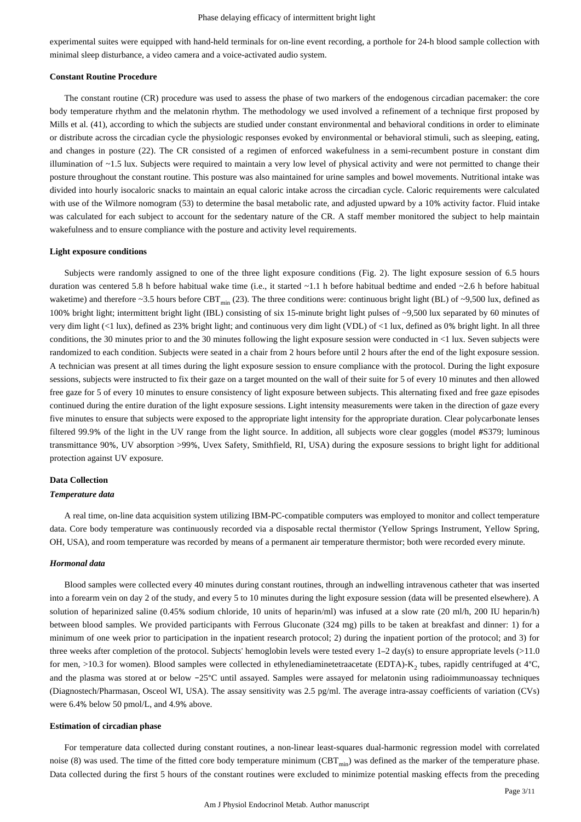experimental suites were equipped with hand-held terminals for on-line event recording, a porthole for 24-h blood sample collection with minimal sleep disturbance, a video camera and a voice-activated audio system.

#### **Constant Routine Procedure**

The constant routine (CR) procedure was used to assess the phase of two markers of the endogenous circadian pacemaker: the core body temperature rhythm and the melatonin rhythm. The methodology we used involved a refinement of a technique first proposed by Mills et al. (41), according to which the subjects are studied under constant environmental and behavioral conditions in order to eliminate or distribute across the circadian cycle the physiologic responses evoked by environmental or behavioral stimuli, such as sleeping, eating, and changes in posture (22). The CR consisted of a regimen of enforced wakefulness in a semi-recumbent posture in constant dim illumination of  $\sim$ 1.5 lux. Subjects were required to maintain a very low level of physical activity and were not permitted to change their posture throughout the constant routine. This posture was also maintained for urine samples and bowel movements. Nutritional intake was divided into hourly isocaloric snacks to maintain an equal caloric intake across the circadian cycle. Caloric requirements were calculated with use of the Wilmore nomogram (53) to determine the basal metabolic rate, and adjusted upward by a 10% activity factor. Fluid intake was calculated for each subject to account for the sedentary nature of the CR. A staff member monitored the subject to help maintain wakefulness and to ensure compliance with the posture and activity level requirements.

#### **Light exposure conditions**

Subjects were randomly assigned to one of the three light exposure conditions (Fig. 2). The light exposure session of 6.5 hours duration was centered 5.8 h before habitual wake time (i.e., it started ~1.1 h before habitual bedtime and ended ~2.6 h before habitual waketime) and therefore ~3.5 hours before CBT<sub>min</sub> (23). The three conditions were: continuous bright light (BL) of ~9,500 lux, defined as 100% bright light; intermittent bright light (IBL) consisting of six 15-minute bright light pulses of ~9,500 lux separated by 60 minutes of very dim light (<1 lux), defined as 23% bright light; and continuous very dim light (VDL) of <1 lux, defined as 0% bright light. In all three conditions, the 30 minutes prior to and the 30 minutes following the light exposure session were conducted in <1 lux. Seven subjects were randomized to each condition. Subjects were seated in a chair from 2 hours before until 2 hours after the end of the light exposure session. A technician was present at all times during the light exposure session to ensure compliance with the protocol. During the light exposure sessions, subjects were instructed to fix their gaze on a target mounted on the wall of their suite for 5 of every 10 minutes and then allowed free gaze for 5 of every 10 minutes to ensure consistency of light exposure between subjects. This alternating fixed and free gaze episodes continued during the entire duration of the light exposure sessions. Light intensity measurements were taken in the direction of gaze every five minutes to ensure that subjects were exposed to the appropriate light intensity for the appropriate duration. Clear polycarbonate lenses filtered 99.9% of the light in the UV range from the light source. In addition, all subjects wore clear goggles (model #S379; luminous transmittance 90%, UV absorption >99%, Uvex Safety, Smithfield, RI, USA) during the exposure sessions to bright light for additional protection against UV exposure.

#### **Data Collection**

#### *Temperature data*

A real time, on-line data acquisition system utilizing IBM-PC-compatible computers was employed to monitor and collect temperature data. Core body temperature was continuously recorded via a disposable rectal thermistor (Yellow Springs Instrument, Yellow Spring, OH, USA), and room temperature was recorded by means of a permanent air temperature thermistor; both were recorded every minute.

#### *Hormonal data*

Blood samples were collected every 40 minutes during constant routines, through an indwelling intravenous catheter that was inserted into a forearm vein on day 2 of the study, and every 5 to 10 minutes during the light exposure session (data will be presented elsewhere). A solution of heparinized saline (0.45% sodium chloride, 10 units of heparin/ml) was infused at a slow rate (20 ml/h, 200 IU heparin/h) between blood samples. We provided participants with Ferrous Gluconate (324 mg) pills to be taken at breakfast and dinner: 1) for a minimum of one week prior to participation in the inpatient research protocol; 2) during the inpatient portion of the protocol; and 3) for three weeks after completion of the protocol. Subjects' hemoglobin levels were tested every  $1-2 \text{ day(s)}$  to ensure appropriate levels ( $>11.0$ for men, >10.3 for women). Blood samples were collected in ethylenediaminetetraacetate (EDTA)- $K_2$  tubes, rapidly centrifuged at 4 $°C$ , and the plasma was stored at or below −25°C until assayed. Samples were assayed for melatonin using radioimmunoassay techniques (Diagnostech/Pharmasan, Osceol WI, USA). The assay sensitivity was 2.5 pg/ml. The average intra-assay coefficients of variation (CVs) were 6.4% below 50 pmol/L, and 4.9% above.

#### **Estimation of circadian phase**

For temperature data collected during constant routines, a non-linear least-squares dual-harmonic regression model with correlated noise (8) was used. The time of the fitted core body temperature minimum (CBT $_{\text{min}}$ ) was defined as the marker of the temperature phase. Data collected during the first 5 hours of the constant routines were excluded to minimize potential masking effects from the preceding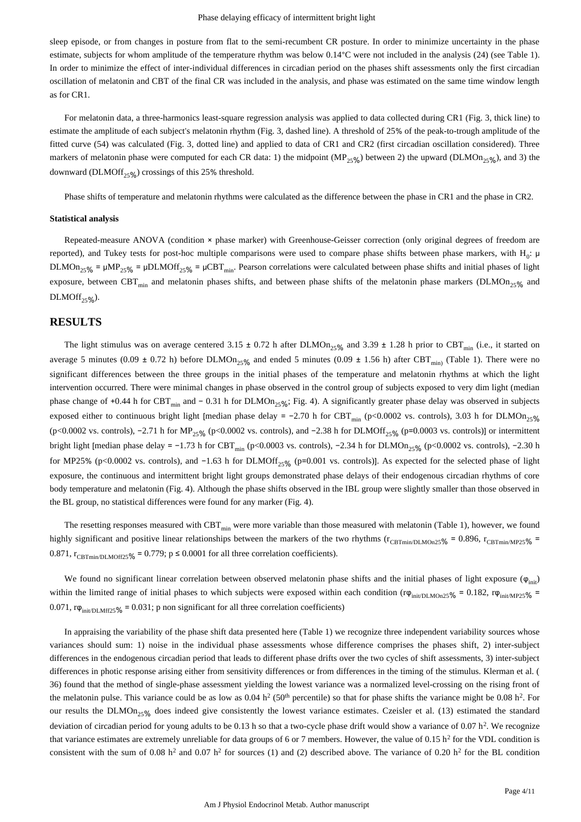sleep episode, or from changes in posture from flat to the semi-recumbent CR posture. In order to minimize uncertainty in the phase estimate, subjects for whom amplitude of the temperature rhythm was below 0.14°C were not included in the analysis (24) (see Table 1). In order to minimize the effect of inter-individual differences in circadian period on the phases shift assessments only the first circadian oscillation of melatonin and CBT of the final CR was included in the analysis, and phase was estimated on the same time window length as for CR1.

For melatonin data, a three-harmonics least-square regression analysis was applied to data collected during CR1 (Fig. 3, thick line) to estimate the amplitude of each subject's melatonin rhythm (Fig. 3, dashed line). A threshold of 25% of the peak-to-trough amplitude of the fitted curve (54) was calculated (Fig. 3, dotted line) and applied to data of CR1 and CR2 (first circadian oscillation considered). Three markers of melatonin phase were computed for each CR data: 1) the midpoint (MP<sub>25%</sub>) between 2) the upward (DLMOn<sub>25%</sub>), and 3) the downward (DLMOff $_{25\%}$ ) crossings of this 25% threshold.

Phase shifts of temperature and melatonin rhythms were calculated as the difference between the phase in CR1 and the phase in CR2.

#### **Statistical analysis**

Repeated-measure ANOVA (condition × phase marker) with Greenhouse-Geisser correction (only original degrees of freedom are reported), and Tukey tests for post-hoc multiple comparisons were used to compare phase shifts between phase markers, with H<sub>0</sub>:  $\mu$ DLMOn<sub>25%</sub> =  $\mu MP_{25\%}$  =  $\mu$ DLMOff<sub>25%</sub> =  $\mu CBT_{\text{min}}$ . Pearson correlations were calculated between phase shifts and initial phases of light exposure, between CBT<sub>min</sub> and melatonin phases shifts, and between phase shifts of the melatonin phase markers (DLMOn<sub>25%</sub> and  $DLMOff_{25}\%$ ).

### **RESULTS**

The light stimulus was on average centered 3.15  $\pm$  0.72 h after DLMOn<sub>25%</sub> and 3.39  $\pm$  1.28 h prior to CBT<sub>min</sub> (i.e., it started on average 5 minutes (0.09  $\pm$  0.72 h) before DLMOn<sub>25%</sub> and ended 5 minutes (0.09  $\pm$  1.56 h) after CBT<sub>min</sub>) (Table 1). There were no significant differences between the three groups in the initial phases of the temperature and melatonin rhythms at which the light intervention occurred. There were minimal changes in phase observed in the control group of subjects exposed to very dim light (median phase change of +0.44 h for CBT<sub>min</sub> and - 0.31 h for DLMOn<sub>25%</sub>; Fig. 4). A significantly greater phase delay was observed in subjects exposed either to continuous bright light [median phase delay = -2.70 h for CBT<sub>min</sub> (p<0.0002 vs. controls), 3.03 h for DLMOn<sub>25%</sub> (p<0.0002 vs. controls), -2.71 h for MP<sub>25%</sub> (p<0.0002 vs. controls), and -2.38 h for DLMOff<sub>25%</sub> (p=0.0003 vs. controls)] or intermittent bright light [median phase delay = -1.73 h for CBT<sub>min</sub> (p<0.0003 vs. controls), -2.34 h for DLMOn<sub>25%</sub> (p<0.0002 vs. controls), -2.30 h for MP25% (p<0.0002 vs. controls), and  $-1.63$  h for DLMOff<sub>25%</sub> (p=0.001 vs. controls)]. As expected for the selected phase of light exposure, the continuous and intermittent bright light groups demonstrated phase delays of their endogenous circadian rhythms of core body temperature and melatonin (Fig. 4). Although the phase shifts observed in the IBL group were slightly smaller than those observed in the BL group, no statistical differences were found for any marker (Fig. 4).

The resetting responses measured with  $CBT_{min}$  were more variable than those measured with melatonin (Table 1), however, we found highly significant and positive linear relationships between the markers of the two rhythms ( $r_{\text{CBTmin/DLMOn25}}$ % = 0.896,  $r_{\text{CBTmin/MP25}}$ % = 0.871,  $r_{\text{CBTmin/DLMOff25\%}} = 0.779$ ; p  $\leq 0.0001$  for all three correlation coefficients).

We found no significant linear correlation between observed melatonin phase shifts and the initial phases of light exposure  $(\varphi_{\text{init}})$ within the limited range of initial phases to which subjects were exposed within each condition (r $\varphi$ <sub>init/DLMOn25</sub>% = 0.182, r $\varphi$ <sub>init/MP25</sub>% = 0.071,  $r\varphi_{\text{init/DI-Mf725}}$ % = 0.031; p non significant for all three correlation coefficients)

In appraising the variability of the phase shift data presented here (Table 1) we recognize three independent variability sources whose variances should sum: 1) noise in the individual phase assessments whose difference comprises the phases shift, 2) inter-subject differences in the endogenous circadian period that leads to different phase drifts over the two cycles of shift assessments. 3) inter-subject differences in photic response arising either from sensitivity differences or from differences in the timing of the stimulus. Klerman et al. ( 36) found that the method of single-phase assessment yielding the lowest variance was a normalized level-crossing on the rising front of the melatonin pulse. This variance could be as low as  $0.04 \text{ h}^2$  (50<sup>th</sup> percentile) so that for phase shifts the variance might be 0.08 h<sup>2</sup>. For our results the DLMOn<sub>25%</sub> does indeed give consistently the lowest variance estimates. Czeisler et al. (13) estimated the standard deviation of circadian period for young adults to be 0.13 h so that a two-cycle phase drift would show a variance of 0.07 h<sup>2</sup>. We recognize that variance estimates are extremely unreliable for data groups of 6 or 7 members. However, the value of 0.15  $h^2$  for the VDL condition is consistent with the sum of 0.08 h<sup>2</sup> and 0.07 h<sup>2</sup> for sources (1) and (2) described above. The variance of 0.20 h<sup>2</sup> for the BL condition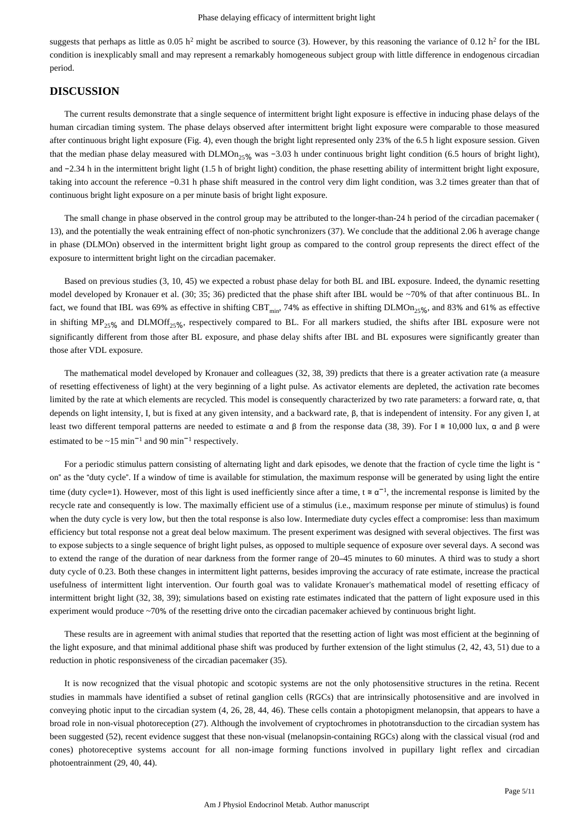suggests that perhaps as little as 0.05 h<sup>2</sup> might be ascribed to source (3). However, by this reasoning the variance of 0.12 h<sup>2</sup> for the IBL condition is inexplicably small and may represent a remarkably homogeneous subject group with little difference in endogenous circadian period.

## **DISCUSSION**

The current results demonstrate that a single sequence of intermittent bright light exposure is effective in inducing phase delays of the human circadian timing system. The phase delays observed after intermittent bright light exposure were comparable to those measured after continuous bright light exposure (Fig. 4), even though the bright light represented only 23% of the 6.5 h light exposure session. Given that the median phase delay measured with DLMOn<sub>25%</sub> was -3.03 h under continuous bright light condition (6.5 hours of bright light), and −2.34 h in the intermittent bright light (1.5 h of bright light) condition, the phase resetting ability of intermittent bright light exposure, taking into account the reference −0.31 h phase shift measured in the control very dim light condition, was 3.2 times greater than that of continuous bright light exposure on a per minute basis of bright light exposure.

The small change in phase observed in the control group may be attributed to the longer-than-24 h period of the circadian pacemaker ( 13), and the potentially the weak entraining effect of non-photic synchronizers (37). We conclude that the additional 2.06 h average change in phase (DLMOn) observed in the intermittent bright light group as compared to the control group represents the direct effect of the exposure to intermittent bright light on the circadian pacemaker.

Based on previous studies (3, 10, 45) we expected a robust phase delay for both BL and IBL exposure. Indeed, the dynamic resetting model developed by Kronauer et al. (30; 35; 36) predicted that the phase shift after IBL would be ~70% of that after continuous BL. In fact, we found that IBL was 69% as effective in shifting CBT<sub>min</sub>, 74% as effective in shifting DLMOn<sub>25%</sub>, and 83% and 61% as effective in shifting  $MP_{25\%}$  and DLMOff<sub>25%</sub>, respectively compared to BL. For all markers studied, the shifts after IBL exposure were not significantly different from those after BL exposure, and phase delay shifts after IBL and BL exposures were significantly greater than those after VDL exposure.

The mathematical model developed by Kronauer and colleagues (32, 38, 39) predicts that there is a greater activation rate (a measure of resetting effectiveness of light) at the very beginning of a light pulse. As activator elements are depleted, the activation rate becomes limited by the rate at which elements are recycled. This model is consequently characterized by two rate parameters: a forward rate, α, that depends on light intensity, I, but is fixed at any given intensity, and a backward rate, β, that is independent of intensity. For any given I, at least two different temporal patterns are needed to estimate  $\alpha$  and β from the response data (38, 39). For I  $\cong$  10,000 lux,  $\alpha$  and β were estimated to be  $\sim$ 15 min<sup>-1</sup> and 90 min<sup>-1</sup> respectively.

For a periodic stimulus pattern consisting of alternating light and dark episodes, we denote that the fraction of cycle time the light is " on" as the "duty cycle". If a window of time is available for stimulation, the maximum response will be generated by using light the entire time (duty cycle=1). However, most of this light is used inefficiently since after a time, t  $\approx \alpha^{-1}$ , the incremental response is limited by the recycle rate and consequently is low. The maximally efficient use of a stimulus (i.e., maximum response per minute of stimulus) is found when the duty cycle is very low, but then the total response is also low. Intermediate duty cycles effect a compromise: less than maximum efficiency but total response not a great deal below maximum. The present experiment was designed with several objectives. The first was to expose subjects to a single sequence of bright light pulses, as opposed to multiple sequence of exposure over several days. A second was to extend the range of the duration of near darkness from the former range of 20–45 minutes to 60 minutes. A third was to study a short duty cycle of 0.23. Both these changes in intermittent light patterns, besides improving the accuracy of rate estimate, increase the practical usefulness of intermittent light intervention. Our fourth goal was to validate Kronauer's mathematical model of resetting efficacy of intermittent bright light (32, 38, 39); simulations based on existing rate estimates indicated that the pattern of light exposure used in this experiment would produce ~70% of the resetting drive onto the circadian pacemaker achieved by continuous bright light.

These results are in agreement with animal studies that reported that the resetting action of light was most efficient at the beginning of the light exposure, and that minimal additional phase shift was produced by further extension of the light stimulus (2, 42, 43, 51) due to a reduction in photic responsiveness of the circadian pacemaker (35).

It is now recognized that the visual photopic and scotopic systems are not the only photosensitive structures in the retina. Recent studies in mammals have identified a subset of retinal ganglion cells (RGCs) that are intrinsically photosensitive and are involved in conveying photic input to the circadian system (4, 26, 28, 44, 46). These cells contain a photopigment melanopsin, that appears to have a broad role in non-visual photoreception (27). Although the involvement of cryptochromes in phototransduction to the circadian system has been suggested (52), recent evidence suggest that these non-visual (melanopsin-containing RGCs) along with the classical visual (rod and cones) photoreceptive systems account for all non-image forming functions involved in pupillary light reflex and circadian photoentrainment (29, 40, 44).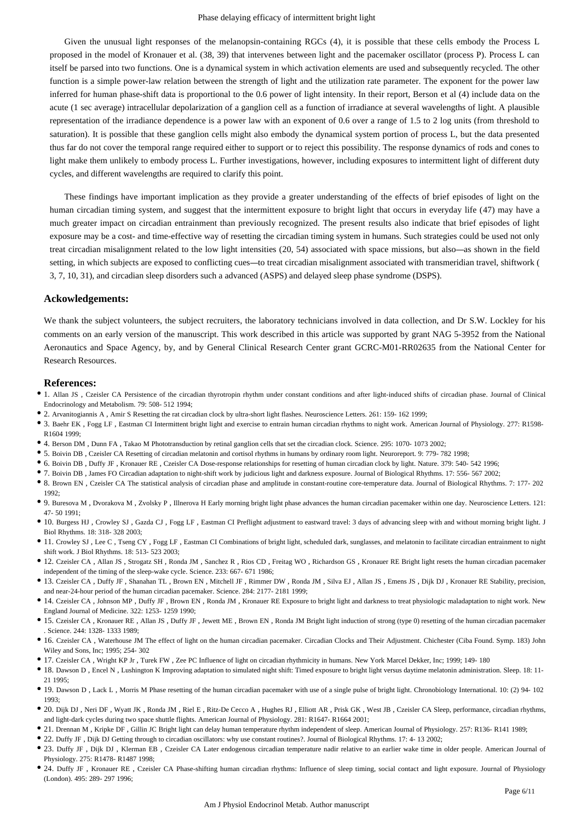Given the unusual light responses of the melanopsin-containing RGCs (4), it is possible that these cells embody the Process L proposed in the model of Kronauer et al. (38, 39) that intervenes between light and the pacemaker oscillator (process P). Process L can itself be parsed into two functions. One is a dynamical system in which activation elements are used and subsequently recycled. The other function is a simple power-law relation between the strength of light and the utilization rate parameter. The exponent for the power law inferred for human phase-shift data is proportional to the 0.6 power of light intensity. In their report, Berson et al (4) include data on the acute (1 sec average) intracellular depolarization of a ganglion cell as a function of irradiance at several wavelengths of light. A plausible representation of the irradiance dependence is a power law with an exponent of 0.6 over a range of 1.5 to 2 log units (from threshold to saturation). It is possible that these ganglion cells might also embody the dynamical system portion of process L, but the data presented thus far do not cover the temporal range required either to support or to reject this possibility. The response dynamics of rods and cones to light make them unlikely to embody process L. Further investigations, however, including exposures to intermittent light of different duty cycles, and different wavelengths are required to clarify this point.

These findings have important implication as they provide a greater understanding of the effects of brief episodes of light on the human circadian timing system, and suggest that the intermittent exposure to bright light that occurs in everyday life (47) may have a much greater impact on circadian entrainment than previously recognized. The present results also indicate that brief episodes of light exposure may be a cost- and time-effective way of resetting the circadian timing system in humans. Such strategies could be used not only treat circadian misalignment related to the low light intensities (20, 54) associated with space missions, but also—as shown in the field setting, in which subjects are exposed to conflicting cues—to treat circadian misalignment associated with transmeridian travel, shiftwork ( 3, 7, 10, 31), and circadian sleep disorders such a advanced (ASPS) and delayed sleep phase syndrome (DSPS).

#### **Ackowledgements:**

We thank the subject volunteers, the subject recruiters, the laboratory technicians involved in data collection, and Dr S.W. Lockley for his comments on an early version of the manuscript. This work described in this article was supported by grant NAG 5-3952 from the National Aeronautics and Space Agency, by, and by General Clinical Research Center grant GCRC-M01-RR02635 from the National Center for Research Resources.

#### **References:**

- 1. Allan JS , Czeisler CA Persistence of the circadian thyrotropin rhythm under constant conditions and after light-induced shifts of circadian phase. Journal of Clinical Endocrinology and Metabolism. 79: 508- 512 1994;
- 2. Arvanitogiannis A , Amir S Resetting the rat circadian clock by ultra-short light flashes. Neuroscience Letters. 261: 159- 162 1999;
- 3. Baehr EK , Fogg LF , Eastman CI Intermittent bright light and exercise to entrain human circadian rhythms to night work. American Journal of Physiology. 277: R1598- R1604 1999;
- 4. Berson DM , Dunn FA , Takao M Phototransduction by retinal ganglion cells that set the circadian clock. Science. 295: 1070- 1073 2002;
- 5. Boivin DB , Czeisler CA Resetting of circadian melatonin and cortisol rhythms in humans by ordinary room light. Neuroreport. 9: 779- 782 1998;
- 6. Boivin DB , Duffy JF , Kronauer RE , Czeisler CA Dose-response relationships for resetting of human circadian clock by light. Nature. 379: 540- 542 1996;
- 7. Boivin DB , James FO Circadian adaptation to night-shift work by judicious light and darkness exposure. Journal of Biological Rhythms. 17: 556- 567 2002;
- 8. Brown EN , Czeisler CA The statistical analysis of circadian phase and amplitude in constant-routine core-temperature data. Journal of Biological Rhythms. 7: 177- 202 1992;
- 9. Buresova M , Dvorakova M , Zvolsky P , Illnerova H Early morning bright light phase advances the human circadian pacemaker within one day. Neuroscience Letters. 121: 47- 50 1991;
- 10. Burgess HJ , Crowley SJ , Gazda CJ , Fogg LF , Eastman CI Preflight adjustment to eastward travel: 3 days of advancing sleep with and without morning bright light. J Biol Rhythms. 18: 318- 328 2003;
- 11. Crowley SJ , Lee C , Tseng CY , Fogg LF , Eastman CI Combinations of bright light, scheduled dark, sunglasses, and melatonin to facilitate circadian entrainment to night shift work. J Biol Rhythms. 18: 513- 523 2003;
- 12. Czeisler CA , Allan JS , Strogatz SH , Ronda JM , Sanchez R , Rios CD , Freitag WO , Richardson GS , Kronauer RE Bright light resets the human circadian pacemaker independent of the timing of the sleep-wake cycle. Science. 233: 667- 671 1986;
- 13. Czeisler CA , Duffy JF , Shanahan TL , Brown EN , Mitchell JF , Rimmer DW , Ronda JM , Silva EJ , Allan JS , Emens JS , Dijk DJ , Kronauer RE Stability, precision, and near-24-hour period of the human circadian pacemaker. Science. 284: 2177- 2181 1999;
- 14. Czeisler CA , Johnson MP , Duffy JF , Brown EN , Ronda JM , Kronauer RE Exposure to bright light and darkness to treat physiologic maladaptation to night work. New England Journal of Medicine. 322: 1253- 1259 1990;
- 15. Czeisler CA , Kronauer RE , Allan JS , Duffy JF , Jewett ME , Brown EN , Ronda JM Bright light induction of strong (type 0) resetting of the human circadian pacemaker . Science. 244: 1328- 1333 1989;
- 16. Czeisler CA , Waterhouse JM The effect of light on the human circadian pacemaker. Circadian Clocks and Their Adjustment. Chichester (Ciba Found. Symp. 183) John Wiley and Sons, Inc; 1995; 254- 302
- 17. Czeisler CA , Wright KP Jr , Turek FW , Zee PC Influence of light on circadian rhythmicity in humans. New York Marcel Dekker, Inc; 1999; 149- 180
- 18. Dawson D , Encel N , Lushington K Improving adaptation to simulated night shift: Timed exposure to bright light versus daytime melatonin administration. Sleep. 18: 11- 21 1995;
- 19. Dawson D , Lack L , Morris M Phase resetting of the human circadian pacemaker with use of a single pulse of bright light. Chronobiology International. 10: (2) 94- 102 1993;
- 20. Dijk DJ , Neri DF , Wyatt JK , Ronda JM , Riel E , Ritz-De Cecco A , Hughes RJ , Elliott AR , Prisk GK , West JB , Czeisler CA Sleep, performance, circadian rhythms, and light-dark cycles during two space shuttle flights. American Journal of Physiology. 281: R1647- R1664 2001;
- 21. Drennan M , Kripke DF , Gillin JC Bright light can delay human temperature rhythm independent of sleep. American Journal of Physiology. 257: R136- R141 1989;
- 22. Duffy JF , Dijk DJ Getting through to circadian oscillators: why use constant routines?. Journal of Biological Rhythms. 17: 4- 13 2002;
- 23. Duffy JF , Dijk DJ , Klerman EB , Czeisler CA Later endogenous circadian temperature nadir relative to an earlier wake time in older people. American Journal of Physiology. 275: R1478- R1487 1998;
- 24. Duffy JF , Kronauer RE , Czeisler CA Phase-shifting human circadian rhythms: Influence of sleep timing, social contact and light exposure. Journal of Physiology (London). 495: 289- 297 1996;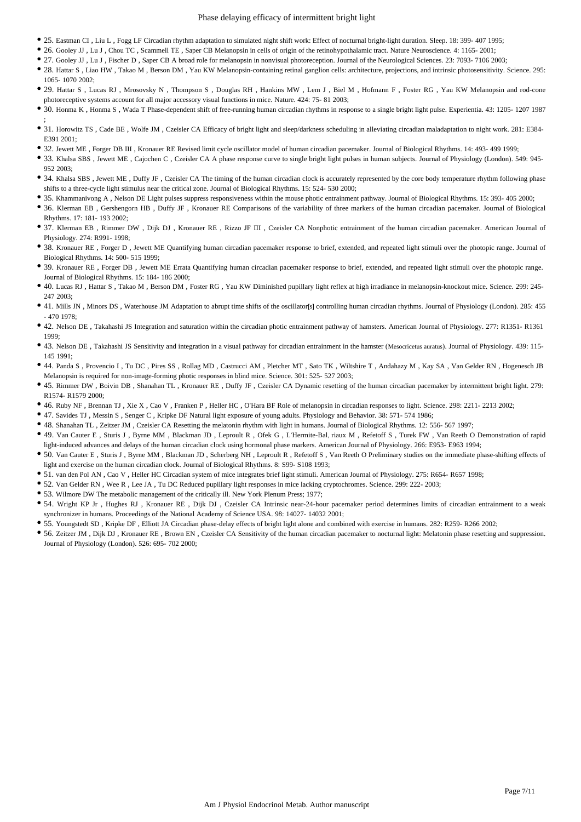#### Phase delaying efficacy of intermittent bright light

- 25. Eastman CI , Liu L , Fogg LF Circadian rhythm adaptation to simulated night shift work: Effect of nocturnal bright-light duration. Sleep. 18: 399- 407 1995;
- 26. Gooley JJ , Lu J , Chou TC , Scammell TE , Saper CB Melanopsin in cells of origin of the retinohypothalamic tract. Nature Neuroscience. 4: 1165- 2001;
- 27. Gooley JJ , Lu J , Fischer D , Saper CB A broad role for melanopsin in nonvisual photoreception. Journal of the Neurological Sciences. 23: 7093- 7106 2003;
- 28. Hattar S , Liao HW , Takao M , Berson DM , Yau KW Melanopsin-containing retinal ganglion cells: architecture, projections, and intrinsic photosensitivity. Science. 295: 1065- 1070 2002;
- 29. Hattar S , Lucas RJ , Mrosovsky N , Thompson S , Douglas RH , Hankins MW , Lem J , Biel M , Hofmann F , Foster RG , Yau KW Melanopsin and rod-cone photoreceptive systems account for all major accessory visual functions in mice. Nature. 424: 75- 81 2003;
- 30. Honma K , Honma S , Wada T Phase-dependent shift of free-running human circadian rhythms in response to a single bright light pulse. Experientia. 43: 1205- 1207 1987 ;
- 31. Horowitz TS , Cade BE , Wolfe JM , Czeisler CA Efficacy of bright light and sleep/darkness scheduling in alleviating circadian maladaptation to night work. 281: E384- E391 2001;
- 32. Jewett ME , Forger DB III , Kronauer RE Revised limit cycle oscillator model of human circadian pacemaker. Journal of Biological Rhythms. 14: 493- 499 1999;
- 33. Khalsa SBS , Jewett ME , Cajochen C , Czeisler CA A phase response curve to single bright light pulses in human subjects. Journal of Physiology (London). 549: 945- 952 2003;
- 34. Khalsa SBS, Jewett ME, Duffy JF, Czeisler CA The timing of the human circadian clock is accurately represented by the core body temperature rhythm following phase shifts to a three-cycle light stimulus near the critical zone. Journal of Biological Rhythms. 15: 524- 530 2000;
- 35. Khammanivong A , Nelson DE Light pulses suppress responsiveness within the mouse photic entrainment pathway. Journal of Biological Rhythms. 15: 393- 405 2000;
- 36. Klerman EB , Gershengorn HB , Duffy JF , Kronauer RE Comparisons of the variability of three markers of the human circadian pacemaker. Journal of Biological Rhythms. 17: 181- 193 2002;
- 37. Klerman EB , Rimmer DW , Dijk DJ , Kronauer RE , Rizzo JF III , Czeisler CA Nonphotic entrainment of the human circadian pacemaker. American Journal of Physiology. 274: R991- 1998;
- 38. Kronauer RE, Forger D., Jewett ME Quantifying human circadian pacemaker response to brief, extended, and repeated light stimuli over the photopic range. Journal of Biological Rhythms. 14: 500- 515 1999;
- 39. Kronauer RE , Forger DB , Jewett ME Errata Quantifying human circadian pacemaker response to brief, extended, and repeated light stimuli over the photopic range. Journal of Biological Rhythms. 15: 184- 186 2000;
- 40. Lucas RJ , Hattar S , Takao M , Berson DM , Foster RG , Yau KW Diminished pupillary light reflex at high irradiance in melanopsin-knockout mice. Science. 299: 245- 247 2003;
- 41. Mills JN, Minors DS, Waterhouse JM Adaptation to abrupt time shifts of the oscillator[s] controlling human circadian rhythms. Journal of Physiology (London). 285: 455 - 470 1978;
- 42. Nelson DE , Takahashi JS Integration and saturation within the circadian photic entrainment pathway of hamsters. American Journal of Physiology. 277: R1351- R1361 1999;
- 43. Nelson DE , Takahashi JS Sensitivity and integration in a visual pathway for circadian entrainment in the hamster (Mesocricetus auratus). Journal of Physiology. 439: 115- 145 1991;
- 44. Panda S , Provencio I , Tu DC , Pires SS , Rollag MD , Castrucci AM , Pletcher MT , Sato TK , Wiltshire T , Andahazy M , Kay SA , Van Gelder RN , Hogenesch JB Melanopsin is required for non-image-forming photic responses in blind mice. Science. 301: 525- 527 2003;
- 45. Rimmer DW , Boivin DB , Shanahan TL , Kronauer RE , Duffy JF , Czeisler CA Dynamic resetting of the human circadian pacemaker by intermittent bright light. 279: R1574- R1579 2000;
- 46. Ruby NF , Brennan TJ , Xie X , Cao V , Franken P , Heller HC , O'Hara BF Role of melanopsin in circadian responses to light. Science. 298: 2211- 2213 2002;
- 47. Savides TJ , Messin S , Senger C , Kripke DF Natural light exposure of young adults. Physiology and Behavior. 38: 571- 574 1986;
- 48. Shanahan TL , Zeitzer JM , Czeisler CA Resetting the melatonin rhythm with light in humans. Journal of Biological Rhythms. 12: 556- 567 1997;
- 49. Van Cauter E , Sturis J , Byrne MM , Blackman JD , Leproult R , Ofek G , L'Hermite-Bal' riaux M , Refetoff S , Turek FW , Van Reeth O Demonstration of rapid light-induced advances and delays of the human circadian clock using hormonal phase markers. American Journal of Physiology. 266: E953- E963 1994;
- 50. Van Cauter E , Sturis J , Byrne MM , Blackman JD , Scherberg NH , Leproult R , Refetoff S , Van Reeth O Preliminary studies on the immediate phase-shifting effects of light and exercise on the human circadian clock. Journal of Biological Rhythms. 8: S99- S108 1993;
- 51. van den Pol AN , Cao V , Heller HC Circadian system of mice integrates brief light stimuli. American Journal of Physiology. 275: R654- R657 1998;
- 52. Van Gelder RN , Wee R , Lee JA , Tu DC Reduced pupillary light responses in mice lacking cryptochromes. Science. 299: 222- 2003;
- 53. Wilmore DW The metabolic management of the critically ill. New York Plenum Press; 1977;
- 54. Wright KP Jr , Hughes RJ , Kronauer RE , Dijk DJ , Czeisler CA Intrinsic near-24-hour pacemaker period determines limits of circadian entrainment to a weak synchronizer in humans. Proceedings of the National Academy of Science USA. 98: 14027- 14032 2001;
- 55. Youngstedt SD , Kripke DF , Elliott JA Circadian phase-delay effects of bright light alone and combined with exercise in humans. 282: R259- R266 2002;
- 56. Zeitzer JM , Dijk DJ , Kronauer RE , Brown EN , Czeisler CA Sensitivity of the human circadian pacemaker to nocturnal light: Melatonin phase resetting and suppression. Journal of Physiology (London). 526: 695- 702 2000;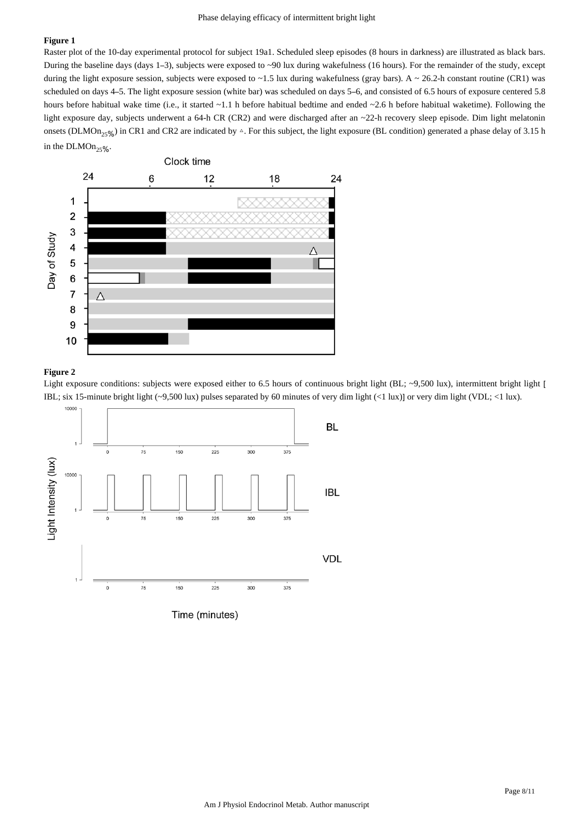#### **Figure 1**

Raster plot of the 10-day experimental protocol for subject 19a1. Scheduled sleep episodes (8 hours in darkness) are illustrated as black bars. During the baseline days (days 1–3), subjects were exposed to ~90 lux during wakefulness (16 hours). For the remainder of the study, except during the light exposure session, subjects were exposed to  $\sim$  1.5 lux during wakefulness (gray bars). A  $\sim$  26.2-h constant routine (CR1) was scheduled on days 4–5. The light exposure session (white bar) was scheduled on days 5–6, and consisted of 6.5 hours of exposure centered 5.8 hours before habitual wake time (i.e., it started ~1.1 h before habitual bedtime and ended ~2.6 h before habitual waketime). Following the light exposure day, subjects underwent a 64-h CR (CR2) and were discharged after an ~22-h recovery sleep episode. Dim light melatonin onsets (DLMOn<sub>25%</sub>) in CR1 and CR2 are indicated by  $\triangle$ . For this subject, the light exposure (BL condition) generated a phase delay of 3.15 h in the  $DLMOn_{25\%}$ .



#### **Figure 2**

Light exposure conditions: subjects were exposed either to 6.5 hours of continuous bright light (BL; ~9,500 lux), intermittent bright light [ IBL; six 15-minute bright light (~9,500 lux) pulses separated by 60 minutes of very dim light (<1 lux)] or very dim light (VDL; <1 lux).

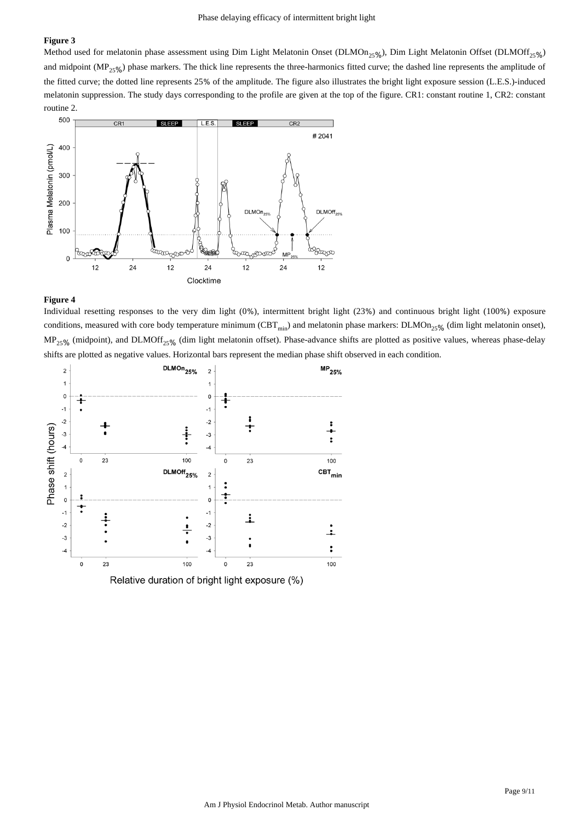#### **Figure 3**

Method used for melatonin phase assessment using Dim Light Melatonin Onset (DLMOn<sub>25%</sub>), Dim Light Melatonin Offset (DLMOff<sub>25%</sub>) and midpoint ( $MP_{25\%}$ ) phase markers. The thick line represents the three-harmonics fitted curve; the dashed line represents the amplitude of the fitted curve; the dotted line represents 25% of the amplitude. The figure also illustrates the bright light exposure session (L.E.S.)-induced melatonin suppression. The study days corresponding to the profile are given at the top of the figure. CR1: constant routine 1, CR2: constant routine 2.



#### **Figure 4**

Individual resetting responses to the very dim light (0%), intermittent bright light (23%) and continuous bright light (100%) exposure conditions, measured with core body temperature minimum (CBT<sub>min</sub>) and melatonin phase markers:  $DLMOn_{25\%}$  (dim light melatonin onset),  $MP_{25\%}$  (midpoint), and DLMOff<sub>25%</sub> (dim light melatonin offset). Phase-advance shifts are plotted as positive values, whereas phase-delay shifts are plotted as negative values. Horizontal bars represent the median phase shift observed in each condition.

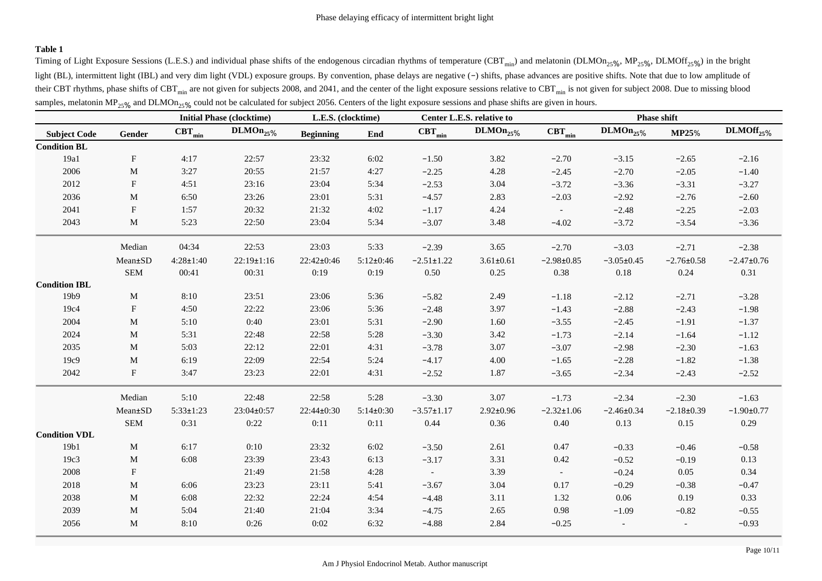## **Table 1**

Timing of Light Exposure Sessions (L.E.S.) and individual phase shifts of the endogenous circadian rhythms of temperature (CBT<sub>min</sub>) and melatonin (DLMOn<sub>25%</sub>, MP<sub>25%</sub>, DLMOff<sub>25%</sub>) in the bright light (BL), intermittent light (IBL) and very dim light (VDL) exposure groups. By convention, phase delays are negative (−) shifts, phase advances are positive shifts. Note that due to low amplitude of their CBT rhythms, phase shifts of CBT  $_{\text{min}}$  are not given for subjects 2008, and 2041, and the center of the light exposure sessions relative to CBT  $_{\text{min}}$  is not given for subject 2008. Due to missing blood samples, melatonin MP<sub>25%</sub> and DLMOn<sub>25%</sub> could not be calculated for subject 2056. Centers of the light exposure sessions and phase shifts are given in hours.

|                      |                           | <b>Initial Phase (clocktime)</b> |                  | L.E.S. (clocktime) |               | Center L.E.S. relative to |                 | <b>Phase shift</b> |                          |                          |                  |
|----------------------|---------------------------|----------------------------------|------------------|--------------------|---------------|---------------------------|-----------------|--------------------|--------------------------|--------------------------|------------------|
| <b>Subject Code</b>  | Gender                    | $\text{CBT}_{\text{min}}$        | $DLMOn_{25\%}$   | <b>Beginning</b>   | End           | $\text{CBT}_{\text{min}}$ | $DLMOn_{25\%}$  | $CBT_{min}$        | $DLMOn_{25\%}$           | <b>MP25%</b>             | $DLMOff_{25\%}$  |
| <b>Condition BL</b>  |                           |                                  |                  |                    |               |                           |                 |                    |                          |                          |                  |
| 19a1                 | ${\bf F}$                 | 4:17                             | 22:57            | 23:32              | 6:02          | $-1.50$                   | 3.82            | $-2.70$            | $-3.15$                  | $-2.65$                  | $-2.16$          |
| 2006                 | $\mathbf M$               | 3:27                             | 20:55            | 21:57              | 4:27          | $-2.25$                   | 4.28            | $-2.45$            | $-2.70$                  | $-2.05$                  | $-1.40$          |
| 2012                 | ${\bf F}$                 | 4:51                             | 23:16            | 23:04              | 5:34          | $-2.53$                   | 3.04            | $-3.72$            | $-3.36$                  | $-3.31$                  | $-3.27$          |
| 2036                 | $\mathbf M$               | 6:50                             | 23:26            | 23:01              | 5:31          | $-4.57$                   | 2.83            | $-2.03$            | $-2.92$                  | $-2.76$                  | $-2.60$          |
| 2041                 | ${\bf F}$                 | 1:57                             | 20:32            | 21:32              | 4:02          | $-1.17$                   | 4.24            | $\sim$             | $-2.48$                  | $-2.25$                  | $-2.03$          |
| 2043                 | $\mathbf M$               | 5:23                             | 22:50            | 23:04              | 5:34          | $-3.07$                   | 3.48            | $-4.02$            | $-3.72$                  | $-3.54$                  | $-3.36$          |
|                      | Median                    | 04:34                            | 22:53            | 23:03              | 5:33          | $-2.39$                   | 3.65            | $-2.70$            | $-3.03$                  | $-2.71$                  | $-2.38$          |
|                      | Mean±SD                   | $4:28 \pm 1:40$                  | $22:19 \pm 1:16$ | 22:42±0:46         | $5:12\pm0:46$ | $-2.51 \pm 1.22$          | $3.61 \pm 0.61$ | $-2.98 \pm 0.85$   | $-3.05 \pm 0.45$         | $-2.76 \pm 0.58$         | $-2.47 \pm 0.76$ |
|                      | <b>SEM</b>                | 00:41                            | 00:31            | 0:19               | 0:19          | 0.50                      | 0.25            | 0.38               | 0.18                     | 0.24                     | 0.31             |
| <b>Condition IBL</b> |                           |                                  |                  |                    |               |                           |                 |                    |                          |                          |                  |
| 19b9                 | M                         | 8:10                             | 23:51            | 23:06              | 5:36          | $-5.82$                   | 2.49            | $-1.18$            | $-2.12$                  | $-2.71$                  | $-3.28$          |
| 19c4                 | $_{\rm F}$                | 4:50                             | 22:22            | 23:06              | 5:36          | $-2.48$                   | 3.97            | $-1.43$            | $-2.88$                  | $-2.43$                  | $-1.98$          |
| 2004                 | M                         | 5:10                             | 0:40             | 23:01              | 5:31          | $-2.90$                   | 1.60            | $-3.55$            | $-2.45$                  | $-1.91$                  | $-1.37$          |
| 2024                 | M                         | 5:31                             | 22:48            | 22:58              | 5:28          | $-3.30$                   | 3.42            | $-1.73$            | $-2.14$                  | $-1.64$                  | $-1.12$          |
| 2035                 | $\mathbf M$               | 5:03                             | 22:12            | 22:01              | 4:31          | $-3.78$                   | 3.07            | $-3.07$            | $-2.98$                  | $-2.30$                  | $-1.63$          |
| 19c9                 | M                         | 6:19                             | 22:09            | 22:54              | 5:24          | $-4.17$                   | 4.00            | $-1.65$            | $-2.28$                  | $-1.82$                  | $-1.38$          |
| 2042                 | ${\bf F}$                 | 3:47                             | 23:23            | 22:01              | 4:31          | $-2.52$                   | 1.87            | $-3.65$            | $-2.34$                  | $-2.43$                  | $-2.52$          |
|                      | Median                    | 5:10                             | 22:48            | 22:58              | 5:28          | $-3.30$                   | 3.07            | $-1.73$            | $-2.34$                  | $-2.30$                  | $-1.63$          |
|                      | Mean±SD                   | $5:33 \pm 1:23$                  | 23:04±0:57       | 22:44±0:30         | $5:14\pm0:30$ | $-3.57 \pm 1.17$          | $2.92 \pm 0.96$ | $-2.32 \pm 1.06$   | $-2.46 \pm 0.34$         | $-2.18 \pm 0.39$         | $-1.90 \pm 0.77$ |
|                      | ${\bf SEM}$               | 0:31                             | 0:22             | 0:11               | 0:11          | 0.44                      | 0.36            | 0.40               | 0.13                     | 0.15                     | 0.29             |
| <b>Condition VDL</b> |                           |                                  |                  |                    |               |                           |                 |                    |                          |                          |                  |
| 19b1                 | M                         | 6:17                             | 0:10             | 23:32              | 6:02          | $-3.50$                   | 2.61            | 0.47               | $-0.33$                  | $-0.46$                  | $-0.58$          |
| 19c3                 | $\mathbf M$               | 6:08                             | 23:39            | 23:43              | 6:13          | $-3.17$                   | 3.31            | 0.42               | $-0.52$                  | $-0.19$                  | 0.13             |
| 2008                 | $\boldsymbol{\mathrm{F}}$ |                                  | 21:49            | 21:58              | 4:28          | $\sim$                    | 3.39            | $\sim$             | $-0.24$                  | 0.05                     | 0.34             |
| 2018                 | $\mathbf{M}$              | 6:06                             | 23:23            | 23:11              | 5:41          | $-3.67$                   | 3.04            | 0.17               | $-0.29$                  | $-0.38$                  | $-0.47$          |
| 2038                 | M                         | 6:08                             | 22:32            | 22:24              | 4:54          | $-4.48$                   | 3.11            | 1.32               | 0.06                     | 0.19                     | 0.33             |
| 2039                 | M                         | 5:04                             | 21:40            | 21:04              | 3:34          | $-4.75$                   | 2.65            | 0.98               | $-1.09$                  | $-0.82$                  | $-0.55$          |
| 2056                 | $\mathbf M$               | 8:10                             | 0:26             | 0:02               | 6:32          | $-4.88$                   | 2.84            | $-0.25$            | $\overline{\phantom{a}}$ | $\overline{\phantom{a}}$ | $-0.93$          |